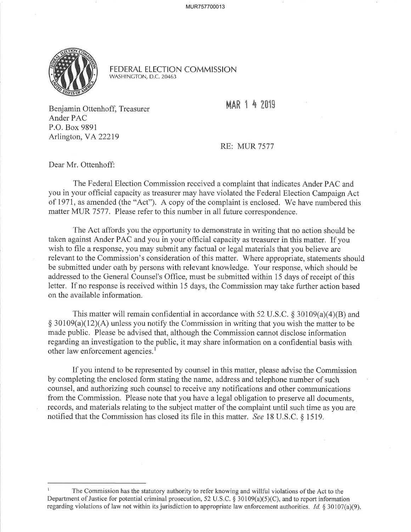

FEDERAL ELECTION COMMISSION WASHINCTON, D.C.20463

MAR 1 4 2019

Benjamin Ottenhoff, Treasurer Ander PAC P.O. Box 9891 Arlington, VA222I9

RE: MUR 7577

Dear Mr. Ottenhoff:

The Federal Election Commission received a complaint that indicates Ander PAC and you in your official capacity as treasurer may have violated the Federal Election Campaign Act of 1971, as amended (the "Act"). A copy of the complaint is enclosed. We have numbered this matter MUR 7577. Please refer to this number in all future correspondence.

The Act affords you the opportunity to demonstrate in writing that no action should be taken against Ander PAC and you in your offrcial capacity as treasurer in this matter. If you wish to file a response, you may submit any factual or legal materials that you believe are relevant to the Commission's consideration of this matter. 'Where appropriate, statements should be submitted under oath by persons with relevant knowledge. Your response, which should be addressed to the General Counsel's Office, must be submitted within 15 days of receipt of this letter. If no response is received within 15 days, the Commission may take further action based on the available information.

This matter will remain confidential in accordance with 52 U.S.C.  $\S 30109(a)(4)(B)$  and  $\S$  30109(a)(12)(A) unless you notify the Commission in writing that you wish the matter to be made public. Please be advised that, although the Commission cannot disclose information regarding an investigation to the public, it may share information on a confidential basis with other law enforcement agencies.<sup>1</sup>

If you intend to be represented by counsel in this matter, please advise the Commission by completing the enclosed form stating the name, address and telephone number of such counsel, and authorizing such counsel to receive any notifications and other communications from the Commission. Please note that you have a legal obligation to preserve all documents, records, and materials relating to the subject matter of the complaint until such time as you are notified that the Commission has closed its file in this matter. See I8 U.S.C. \$ 1519.

I The Commission has the statutory authority to refer knowing and willful violations of the Act to the Department of Justice for potential criminal prosecution, 52 U.S.C.  $\S$  30109(a)(5)(C), and to report information regarding violations of law not within its jurisdiction to appropriate law enforcement authorities.  $Id$ . § 30107(a)(9),